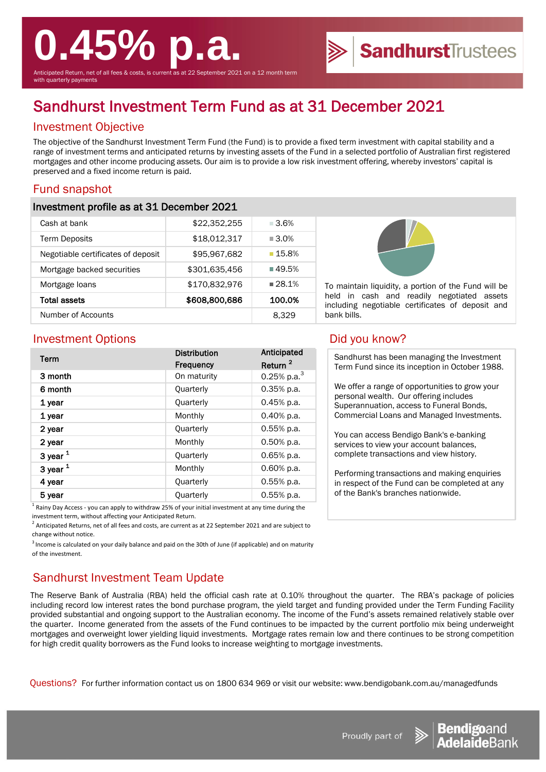# **0.45% p.a.**

Anticipated Return, net of all fees & costs, is current as at 22 September 2021 on a 12 month term with quarterly payments

# Sandhurst Investment Term Fund as at 31 December 2021

# Investment Objective

The objective of the Sandhurst Investment Term Fund (the Fund) is to provide a fixed term investment with capital stability and a range of investment terms and anticipated returns by investing assets of the Fund in a selected portfolio of Australian first registered mortgages and other income producing assets. Our aim is to provide a low risk investment offering, whereby investors' capital is preserved and a fixed income return is paid.

## Fund snapshot

#### Investment profile as at 31 December 2021

| Cash at bank                       | \$22,352,255  | $-3.6\%$             |
|------------------------------------|---------------|----------------------|
| <b>Term Deposits</b>               | \$18,012,317  | $\blacksquare$ 3.0%  |
| Negotiable certificates of deposit | \$95,967,682  | $\blacksquare$ 15.8% |
| Mortgage backed securities         | \$301,635,456 | $\blacksquare$ 49.5% |
| Mortgage loans                     | \$170,832,976 | $28.1\%$             |
| <b>Total assets</b>                | \$608,800,686 | 100.0%               |
| Number of Accounts                 |               | 8.329                |



To maintain liquidity, a portion of the Fund will be held in cash and readily negotiated assets including negotiable certificates of deposit and bank bills.

### Investment Options **Did you know?**

| Term       | <b>Distribution</b><br><b>Frequency</b> | Anticipated<br>Return <sup>2</sup> |
|------------|-----------------------------------------|------------------------------------|
| 3 month    | On maturity                             | 0.25% p.a. $3$                     |
| 6 month    | Quarterly                               | $0.35%$ p.a.                       |
| 1 year     | <b>Quarterly</b>                        | $0.45%$ p.a.                       |
| 1 year     | Monthly                                 | 0.40% p.a.                         |
| 2 year     | Quarterly                               | 0.55% p.a.                         |
| 2 year     | Monthly                                 | $0.50\%$ p.a.                      |
| 3 year $1$ | Quarterly                               | $0.65%$ p.a.                       |
| 3 year $1$ | Monthly                                 | $0.60\%$ p.a.                      |
| 4 year     | Quarterly                               | $0.55%$ p.a.                       |
| 5 year     | <b>Quarterly</b>                        | $0.55%$ p.a.                       |

<sup>1</sup> Rainy Day Access - you can apply to withdraw 25% of your initial investment at any time during the investment term, without affecting your Anticipated Return.

 $^2$  Anticipated Returns, net of all fees and costs, are current as at 22 September 2021 and are subject to change without notice.

 $3$  Income is calculated on your daily balance and paid on the 30th of June (if applicable) and on maturity of the investment.

# Sandhurst Investment Team Update

The Reserve Bank of Australia (RBA) held the official cash rate at 0.10% throughout the quarter. The RBA's package of policies including record low interest rates the bond purchase program, the yield target and funding provided under the Term Funding Facility provided substantial and ongoing support to the Australian economy. The income of the Fund's assets remained relatively stable over the quarter. Income generated from the assets of the Fund continues to be impacted by the current portfolio mix being underweight mortgages and overweight lower yielding liquid investments. Mortgage rates remain low and there continues to be strong competition for high credit quality borrowers as the Fund looks to increase weighting to mortgage investments.

Questions? For further information contact us on 1800 634 969 or visit our website: www.bendigobank.com.au/managedfunds



**SandhurstTrustees** 

Sandhurst has been managing the Investment Term Fund since its inception in October 1988.

We offer a range of opportunities to grow your personal wealth. Our offering includes Superannuation, access to Funeral Bonds, Commercial Loans and Managed Investments.

You can access Bendigo Bank's e-banking services to view your account balances, complete transactions and view history.

Performing transactions and making enquiries in respect of the Fund can be completed at any of the Bank's branches nationwide.



Proudly part of